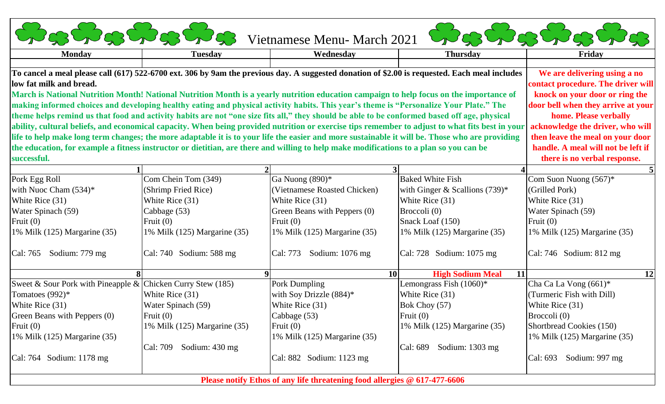|                                                                                                                                                 |                                    | Ces Ces Ces Ces Vietnamese Menu-March 2021 | CogGogGogGog                                      |                                   |
|-------------------------------------------------------------------------------------------------------------------------------------------------|------------------------------------|--------------------------------------------|---------------------------------------------------|-----------------------------------|
| <b>Monday</b>                                                                                                                                   | <b>Tuesday</b>                     | Wednesday                                  | <b>Thursday</b>                                   | Friday                            |
| To cancel a meal please call (617) 522-6700 ext. 306 by 9am the previous day. A suggested donation of \$2.00 is requested. Each meal includes   | We are delivering using a no       |                                            |                                                   |                                   |
| low fat milk and bread.                                                                                                                         | contact procedure. The driver will |                                            |                                                   |                                   |
| March is National Nutrition Month! National Nutrition Month is a yearly nutrition education campaign to help focus on the importance of         | knock on your door or ring the     |                                            |                                                   |                                   |
| making informed choices and developing healthy eating and physical activity habits. This year's theme is "Personalize Your Plate." The          | door bell when they arrive at your |                                            |                                                   |                                   |
| theme helps remind us that food and activity habits are not "one size fits all," they should be able to be conformed based off age, physical    | home. Please verbally              |                                            |                                                   |                                   |
| ability, cultural beliefs, and economical capacity. When being provided nutrition or exercise tips remember to adjust to what fits best in your | acknowledge the driver, who will   |                                            |                                                   |                                   |
| life to help make long term changes; the more adaptable it is to your life the easier and more sustainable it will be. Those who are providing  | then leave the meal on your door   |                                            |                                                   |                                   |
| the education, for example a fitness instructor or dietitian, are there and willing to help make modifications to a plan so you can be          | handle. A meal will not be left if |                                            |                                                   |                                   |
| successful.                                                                                                                                     |                                    |                                            |                                                   | there is no verbal response.      |
|                                                                                                                                                 |                                    |                                            |                                                   |                                   |
| Pork Egg Roll                                                                                                                                   | Com Chein Tom (349)                | Ga Nuong (890)*                            | <b>Baked White Fish</b>                           | Com Suon Nuong $(567)^*$          |
| with Nuoc Cham $(534)^*$                                                                                                                        | (Shrimp Fried Rice)                | (Vietnamese Roasted Chicken)               | with Ginger & Scallions $(739)^*$                 | (Grilled Pork)                    |
| White Rice (31)                                                                                                                                 | White Rice (31)                    | White Rice $(31)$                          | White Rice $(31)$                                 | White Rice (31)                   |
| Water Spinach (59)                                                                                                                              | Cabbage (53)                       | Green Beans with Peppers (0)               | Broccoli (0)                                      | Water Spinach (59)                |
| Fruit $(0)$                                                                                                                                     | Fruit $(0)$                        | Fruit $(0)$                                | Snack Loaf (150)                                  | Fruit $(0)$                       |
| 1% Milk (125) Margarine (35)                                                                                                                    | 1% Milk (125) Margarine (35)       | 1% Milk (125) Margarine (35)               | 1% Milk (125) Margarine (35)                      | 1% Milk (125) Margarine (35)      |
| Cal: 765<br>Sodium: 779 mg                                                                                                                      | Cal: 740 Sodium: 588 mg            | Cal: 773<br>Sodium: $1076$ mg              | Cal: 728 Sodium: 1075 mg                          | $\text{Cal: } 746$ Sodium: 812 mg |
|                                                                                                                                                 |                                    |                                            | <b>High Sodium Meal</b><br><b>10</b><br><b>11</b> | 12                                |
| Sweet & Sour Pork with Pineapple & Chicken Curry Stew $(185)$                                                                                   |                                    | Pork Dumpling                              | Lemongrass Fish (1060)*                           | Cha Ca La Vong $(661)^*$          |
| Tomatoes (992)*                                                                                                                                 | White Rice (31)                    | with Soy Drizzle (884)*                    | White Rice (31)                                   | (Turmeric Fish with Dill)         |
| White Rice (31)                                                                                                                                 | Water Spinach (59)                 | White Rice (31)                            | Bok Choy (57)                                     | White Rice $(31)$                 |
| Green Beans with Peppers (0)                                                                                                                    | Fruit $(0)$                        | Cabbage (53)                               | Fruit $(0)$                                       | Broccoli $(0)$                    |
| Fruit $(0)$                                                                                                                                     | 1% Milk (125) Margarine (35)       | Fruit $(0)$                                | 1% Milk (125) Margarine (35)                      | Shortbread Cookies (150)          |
| 1% Milk (125) Margarine (35)                                                                                                                    |                                    | 1% Milk (125) Margarine (35)               |                                                   | 1% Milk (125) Margarine (35)      |
|                                                                                                                                                 | Cal: 709 Sodium: 430 mg            |                                            | $\text{Cal: } 689$ Sodium: 1303 mg                |                                   |
| $ Cal: 764$ Sodium: 1178 mg                                                                                                                     |                                    | $\vert$ Cal: 882 Sodium: 1123 mg           |                                                   | Sodium: 997 mg<br>Cal: 693        |